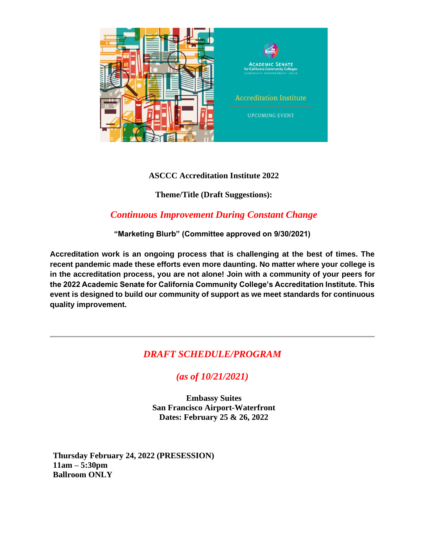

### **ASCCC Accreditation Institute 2022**

**Theme/Title (Draft Suggestions):**

## *Continuous Improvement During Constant Change*

**"Marketing Blurb" (Committee approved on 9/30/2021)**

**Accreditation work is an ongoing process that is challenging at the best of times. The recent pandemic made these efforts even more daunting. No matter where your college is in the accreditation process, you are not alone! Join with a community of your peers for the 2022 Academic Senate for California Community College's Accreditation Institute. This event is designed to build our community of support as we meet standards for continuous quality improvement.**

# *DRAFT SCHEDULE/PROGRAM*

# *(as of 10/21/2021)*

**Embassy Suites San Francisco Airport-Waterfront Dates: February 25 & 26, 2022**

**Thursday February 24, 2022 (PRESESSION) 11am – 5:30pm Ballroom ONLY**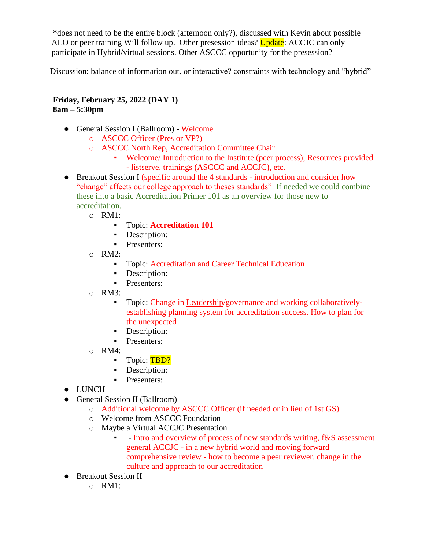**\***does not need to be the entire block (afternoon only?), discussed with Kevin about possible ALO or peer training Will follow up. Other presession ideas? Update: ACCJC can only participate in Hybrid/virtual sessions. Other ASCCC opportunity for the presession?

Discussion: balance of information out, or interactive? constraints with technology and "hybrid"

**Friday, February 25, 2022 (DAY 1) 8am – 5:30pm**

- General Session I (Ballroom) Welcome
	- o ASCCC Officer (Pres or VP?)
	- o ASCCC North Rep, Accreditation Committee Chair
		- Welcome/ Introduction to the Institute (peer process); Resources provided - listserve, trainings (ASCCC and ACCJC), etc.
- Breakout Session I (specific around the 4 standards introduction and consider how "change" affects our college approach to theses standards" If needed we could combine these into a basic Accreditation Primer 101 as an overview for those new to accreditation.
	- o RM1:
		- Topic: **Accreditation 101**
		- **•** Description:
		- **•** Presenters:
	- o RM2:
		- Topic: Accreditation and Career Technical Education
		- **•** Description:
		- **•** Presenters:
	- o RM3:
		- Topic: Change in Leadership/governance and working collaborativelyestablishing planning system for accreditation success. How to plan for the unexpected
		- **•** Description:
		- **•** Presenters:
	- o RM4:
		- **•** Topic: TBD?
		- **•** Description:
		- **•** Presenters:
- LUNCH
- General Session II (Ballroom)
	- o Additional welcome by ASCCC Officer (if needed or in lieu of 1st GS)
	- o Welcome from ASCCC Foundation
	- o Maybe a Virtual ACCJC Presentation
		- - Intro and overview of process of new standards writing, f&S assessment general ACCJC - in a new hybrid world and moving forward comprehensive review - how to become a peer reviewer. change in the culture and approach to our accreditation
- Breakout Session II
	- $\Omega$  RM1: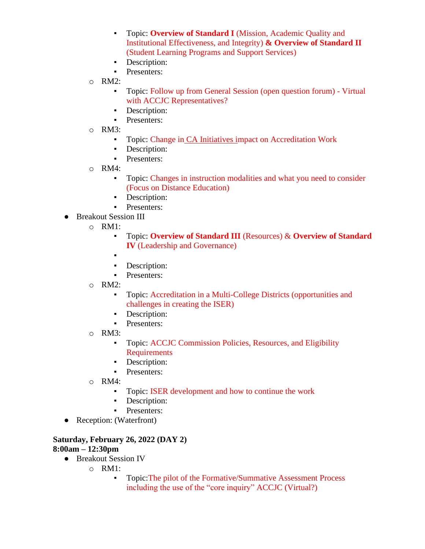- Topic: **Overview of Standard I** (Mission, Academic Quality and Institutional Effectiveness, and Integrity) **& Overview of Standard II** (Student Learning Programs and Support Services)
- **•** Description:
- **•** Presenters:
- o RM2:
	- Topic: Follow up from General Session (open question forum) Virtual with ACCJC Representatives?
	- **•** Description:
	- **•** Presenters:
- o RM3:
	- Topic: Change in CA Initiatives impact on Accreditation Work
	- **•** Description:
	- **•** Presenters:
- o RM4:
	- Topic: Changes in instruction modalities and what you need to consider (Focus on Distance Education)
	- **•** Description:
	- **•** Presenters:
- Breakout Session III
	- o RM1:
		- Topic: **Overview of Standard III** (Resources) & **Overview of Standard IV** (Leadership and Governance)
		- ▪
		- **•** Description:
		- **•** Presenters:
	- o RM2:
		- Topic: Accreditation in a Multi-College Districts (opportunities and challenges in creating the ISER)
		- **•** Description:
		- **•** Presenters:
	- $O$  RM3:
		- **•** Topic: ACCJC Commission Policies, Resources, and Eligibility Requirements
		- **•** Description:
		- **•** Presenters:
	- o RM4:
		- Topic: ISER development and how to continue the work
		- **•** Description:
		- Presenters:
- Reception: (Waterfront)

#### **Saturday, February 26, 2022 (DAY 2) 8:00am – 12:30pm**

- Breakout Session IV
	- o RM1:
		- Topic:The pilot of the Formative/Summative Assessment Process including the use of the "core inquiry" ACCJC (Virtual?)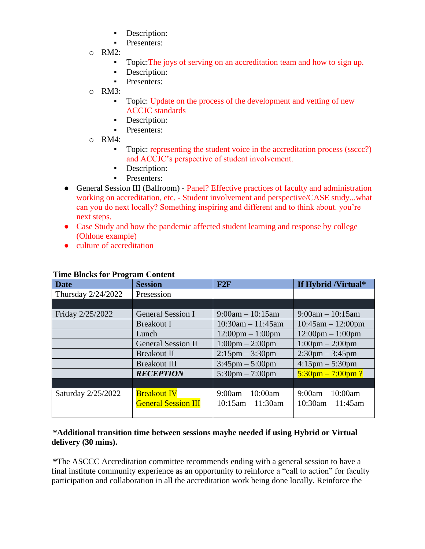- Description:
- **•** Presenters:
- o RM2:
	- Topic:The joys of serving on an accreditation team and how to sign up.
	- **•** Description:
	- **•** Presenters:
- o RM3:
	- Topic: Update on the process of the development and vetting of new ACCJC standards
	- **•** Description:
	- **•** Presenters:
- o RM4:
	- Topic: representing the student voice in the accreditation process (ssccc?) and ACCJC's perspective of student involvement.
	- **•** Description:
	- **•** Presenters:
- General Session III (Ballroom) Panel? Effective practices of faculty and administration working on accreditation, etc. - Student involvement and perspective/CASE study...what can you do next locally? Something inspiring and different and to think about. you're next steps.
- Case Study and how the pandemic affected student learning and response by college (Ohlone example)
- culture of accreditation

| <b>Date</b>        | <b>Session</b>             | F2F                                | If Hybrid /Virtual*                |
|--------------------|----------------------------|------------------------------------|------------------------------------|
| Thursday 2/24/2022 | Presession                 |                                    |                                    |
|                    |                            |                                    |                                    |
| Friday 2/25/2022   | <b>General Session I</b>   | $9:00am - 10:15am$                 | $9:00am - 10:15am$                 |
|                    | Breakout I                 | $10:30$ am $-11:45$ am             | $10:45am - 12:00pm$                |
|                    | Lunch                      | $12:00 \text{pm} - 1:00 \text{pm}$ | $12:00 \text{pm} - 1:00 \text{pm}$ |
|                    | <b>General Session II</b>  | $1:00 \text{pm} - 2:00 \text{pm}$  | $1:00 \text{pm} - 2:00 \text{pm}$  |
|                    | <b>Breakout II</b>         | $2:15$ pm $-3:30$ pm               | $2:30 \text{pm} - 3:45 \text{pm}$  |
|                    | <b>Breakout III</b>        | $3:45 \text{pm} - 5:00 \text{pm}$  | $4:15 \text{pm} - 5:30 \text{pm}$  |
|                    | <b>RECEPTION</b>           | $5:30 \text{pm} - 7:00 \text{pm}$  | $5:30$ pm $-7:00$ pm ?             |
|                    |                            |                                    |                                    |
| Saturday 2/25/2022 | <b>Breakout IV</b>         | $9:00am - 10:00am$                 | $9:00am - 10:00am$                 |
|                    | <b>General Session III</b> | $10:15$ am $-11:30$ am             | $10:30$ am $-11:45$ am             |
|                    |                            |                                    |                                    |

### **Time Blocks for Program Content**

#### **\*Additional transition time between sessions maybe needed if using Hybrid or Virtual delivery (30 mins).**

**\***The ASCCC Accreditation committee recommends ending with a general session to have a final institute community experience as an opportunity to reinforce a "call to action" for faculty participation and collaboration in all the accreditation work being done locally. Reinforce the